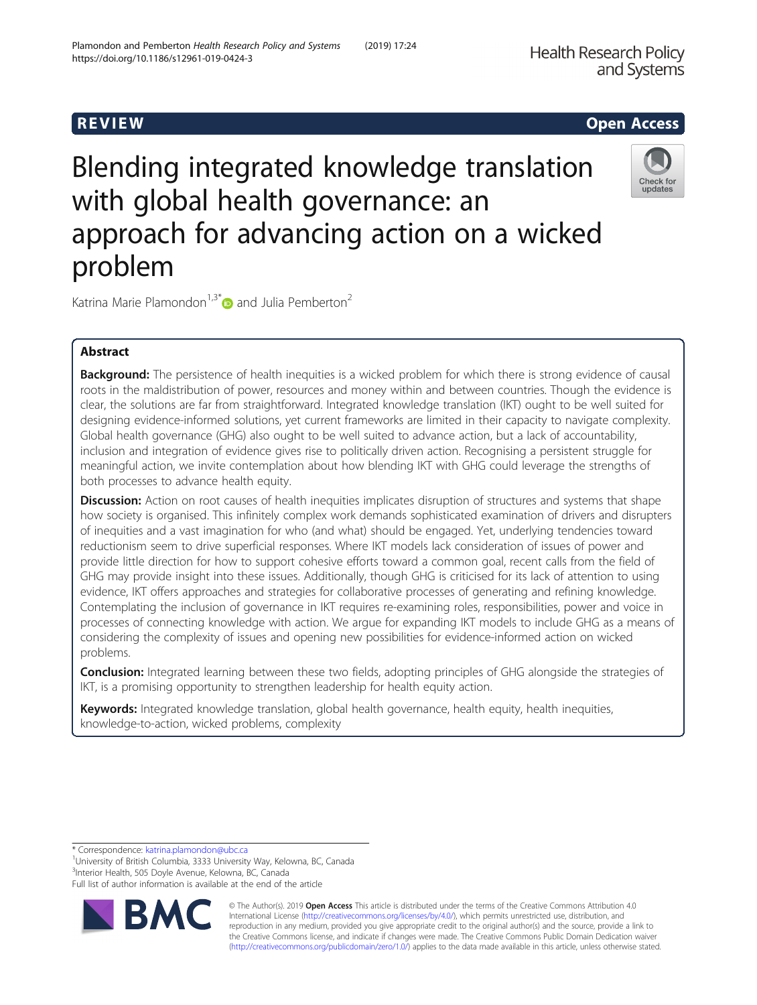## R EVI EW Open Access

# Blending integrated knowledge translation with global health governance: an approach for advancing action on a wicked problem



Katrina Marie Plamondon<sup>1,3\*</sup> and Julia Pemberton<sup>2</sup>

## Abstract

Background: The persistence of health inequities is a wicked problem for which there is strong evidence of causal roots in the maldistribution of power, resources and money within and between countries. Though the evidence is clear, the solutions are far from straightforward. Integrated knowledge translation (IKT) ought to be well suited for designing evidence-informed solutions, yet current frameworks are limited in their capacity to navigate complexity. Global health governance (GHG) also ought to be well suited to advance action, but a lack of accountability, inclusion and integration of evidence gives rise to politically driven action. Recognising a persistent struggle for meaningful action, we invite contemplation about how blending IKT with GHG could leverage the strengths of both processes to advance health equity.

Discussion: Action on root causes of health inequities implicates disruption of structures and systems that shape how society is organised. This infinitely complex work demands sophisticated examination of drivers and disrupters of inequities and a vast imagination for who (and what) should be engaged. Yet, underlying tendencies toward reductionism seem to drive superficial responses. Where IKT models lack consideration of issues of power and provide little direction for how to support cohesive efforts toward a common goal, recent calls from the field of GHG may provide insight into these issues. Additionally, though GHG is criticised for its lack of attention to using evidence, IKT offers approaches and strategies for collaborative processes of generating and refining knowledge. Contemplating the inclusion of governance in IKT requires re-examining roles, responsibilities, power and voice in processes of connecting knowledge with action. We argue for expanding IKT models to include GHG as a means of considering the complexity of issues and opening new possibilities for evidence-informed action on wicked problems.

Conclusion: Integrated learning between these two fields, adopting principles of GHG alongside the strategies of IKT, is a promising opportunity to strengthen leadership for health equity action.

Keywords: Integrated knowledge translation, global health governance, health equity, health inequities, knowledge-to-action, wicked problems, complexity

\* Correspondence: [katrina.plamondon@ubc.ca](mailto:katrina.plamondon@ubc.ca) <sup>1</sup>

<sup>1</sup>University of British Columbia, 3333 University Way, Kelowna, BC, Canada 3 Interior Health, 505 Doyle Avenue, Kelowna, BC, Canada

Full list of author information is available at the end of the article



© The Author(s). 2019 **Open Access** This article is distributed under the terms of the Creative Commons Attribution 4.0 International License [\(http://creativecommons.org/licenses/by/4.0/](http://creativecommons.org/licenses/by/4.0/)), which permits unrestricted use, distribution, and reproduction in any medium, provided you give appropriate credit to the original author(s) and the source, provide a link to the Creative Commons license, and indicate if changes were made. The Creative Commons Public Domain Dedication waiver [\(http://creativecommons.org/publicdomain/zero/1.0/](http://creativecommons.org/publicdomain/zero/1.0/)) applies to the data made available in this article, unless otherwise stated.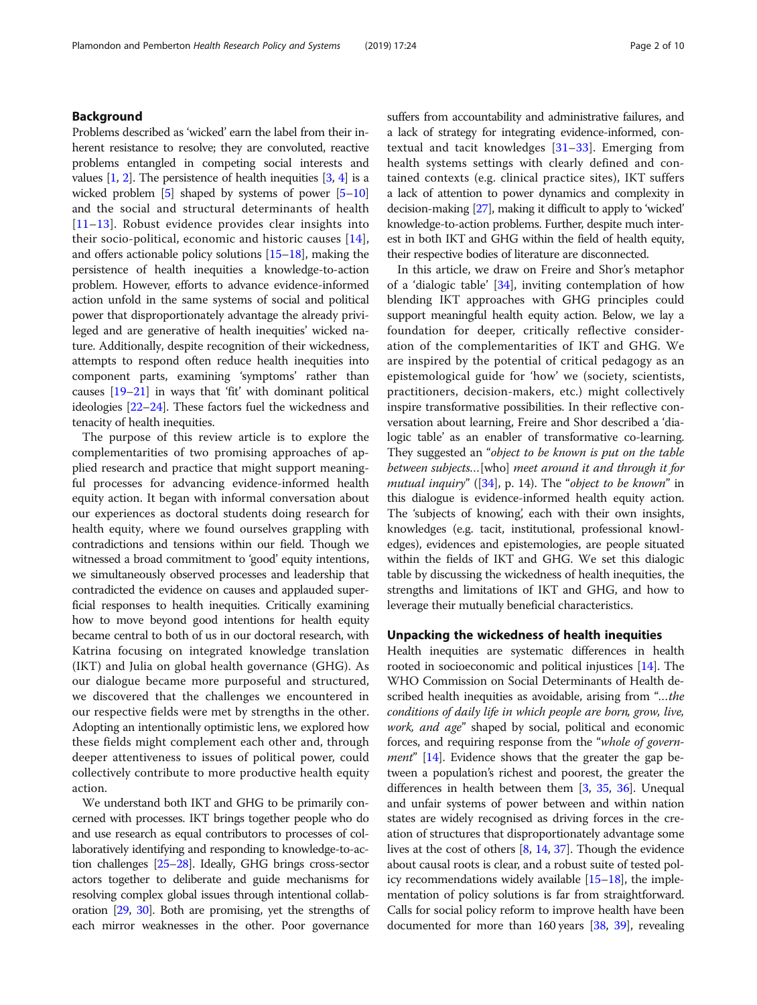#### Background

Problems described as 'wicked' earn the label from their inherent resistance to resolve; they are convoluted, reactive problems entangled in competing social interests and values  $[1, 2]$  $[1, 2]$  $[1, 2]$  $[1, 2]$  $[1, 2]$ . The persistence of health inequities  $[3, 4]$  $[3, 4]$  $[3, 4]$  $[3, 4]$  $[3, 4]$  is a wicked problem [[5](#page-7-0)] shaped by systems of power [\[5](#page-7-0)–[10](#page-7-0)] and the social and structural determinants of health [[11](#page-7-0)–[13](#page-7-0)]. Robust evidence provides clear insights into their socio-political, economic and historic causes [[14](#page-7-0)], and offers actionable policy solutions [\[15](#page-7-0)–[18](#page-8-0)], making the persistence of health inequities a knowledge-to-action problem. However, efforts to advance evidence-informed action unfold in the same systems of social and political power that disproportionately advantage the already privileged and are generative of health inequities' wicked nature. Additionally, despite recognition of their wickedness, attempts to respond often reduce health inequities into component parts, examining 'symptoms' rather than causes [[19](#page-8-0)–[21\]](#page-8-0) in ways that 'fit' with dominant political ideologies [[22](#page-8-0)–[24\]](#page-8-0). These factors fuel the wickedness and tenacity of health inequities.

The purpose of this review article is to explore the complementarities of two promising approaches of applied research and practice that might support meaningful processes for advancing evidence-informed health equity action. It began with informal conversation about our experiences as doctoral students doing research for health equity, where we found ourselves grappling with contradictions and tensions within our field. Though we witnessed a broad commitment to 'good' equity intentions, we simultaneously observed processes and leadership that contradicted the evidence on causes and applauded superficial responses to health inequities. Critically examining how to move beyond good intentions for health equity became central to both of us in our doctoral research, with Katrina focusing on integrated knowledge translation (IKT) and Julia on global health governance (GHG). As our dialogue became more purposeful and structured, we discovered that the challenges we encountered in our respective fields were met by strengths in the other. Adopting an intentionally optimistic lens, we explored how these fields might complement each other and, through deeper attentiveness to issues of political power, could collectively contribute to more productive health equity action.

We understand both IKT and GHG to be primarily concerned with processes. IKT brings together people who do and use research as equal contributors to processes of collaboratively identifying and responding to knowledge-to-action challenges [[25](#page-8-0)–[28](#page-8-0)]. Ideally, GHG brings cross-sector actors together to deliberate and guide mechanisms for resolving complex global issues through intentional collaboration [\[29](#page-8-0), [30\]](#page-8-0). Both are promising, yet the strengths of each mirror weaknesses in the other. Poor governance suffers from accountability and administrative failures, and a lack of strategy for integrating evidence-informed, contextual and tacit knowledges  $[31-33]$  $[31-33]$  $[31-33]$  $[31-33]$ . Emerging from health systems settings with clearly defined and contained contexts (e.g. clinical practice sites), IKT suffers a lack of attention to power dynamics and complexity in decision-making [[27](#page-8-0)], making it difficult to apply to 'wicked' knowledge-to-action problems. Further, despite much interest in both IKT and GHG within the field of health equity, their respective bodies of literature are disconnected.

In this article, we draw on Freire and Shor's metaphor of a 'dialogic table' [[34](#page-8-0)], inviting contemplation of how blending IKT approaches with GHG principles could support meaningful health equity action. Below, we lay a foundation for deeper, critically reflective consideration of the complementarities of IKT and GHG. We are inspired by the potential of critical pedagogy as an epistemological guide for 'how' we (society, scientists, practitioners, decision-makers, etc.) might collectively inspire transformative possibilities. In their reflective conversation about learning, Freire and Shor described a 'dialogic table' as an enabler of transformative co-learning. They suggested an "object to be known is put on the table between subjects…[who] meet around it and through it for mutual inquiry"  $([34], p. 14)$  $([34], p. 14)$  $([34], p. 14)$ . The "object to be known" in this dialogue is evidence-informed health equity action. The 'subjects of knowing', each with their own insights, knowledges (e.g. tacit, institutional, professional knowledges), evidences and epistemologies, are people situated within the fields of IKT and GHG. We set this dialogic table by discussing the wickedness of health inequities, the strengths and limitations of IKT and GHG, and how to leverage their mutually beneficial characteristics.

#### Unpacking the wickedness of health inequities

Health inequities are systematic differences in health rooted in socioeconomic and political injustices [[14](#page-7-0)]. The WHO Commission on Social Determinants of Health described health inequities as avoidable, arising from "…the conditions of daily life in which people are born, grow, live, work, and age" shaped by social, political and economic forces, and requiring response from the "whole of govern*ment*" [[14](#page-7-0)]. Evidence shows that the greater the gap between a population's richest and poorest, the greater the differences in health between them [\[3](#page-7-0), [35](#page-8-0), [36](#page-8-0)]. Unequal and unfair systems of power between and within nation states are widely recognised as driving forces in the creation of structures that disproportionately advantage some lives at the cost of others [[8](#page-7-0), [14](#page-7-0), [37\]](#page-8-0). Though the evidence about causal roots is clear, and a robust suite of tested policy recommendations widely available [\[15](#page-7-0)–[18](#page-8-0)], the implementation of policy solutions is far from straightforward. Calls for social policy reform to improve health have been documented for more than 160 years [\[38,](#page-8-0) [39\]](#page-8-0), revealing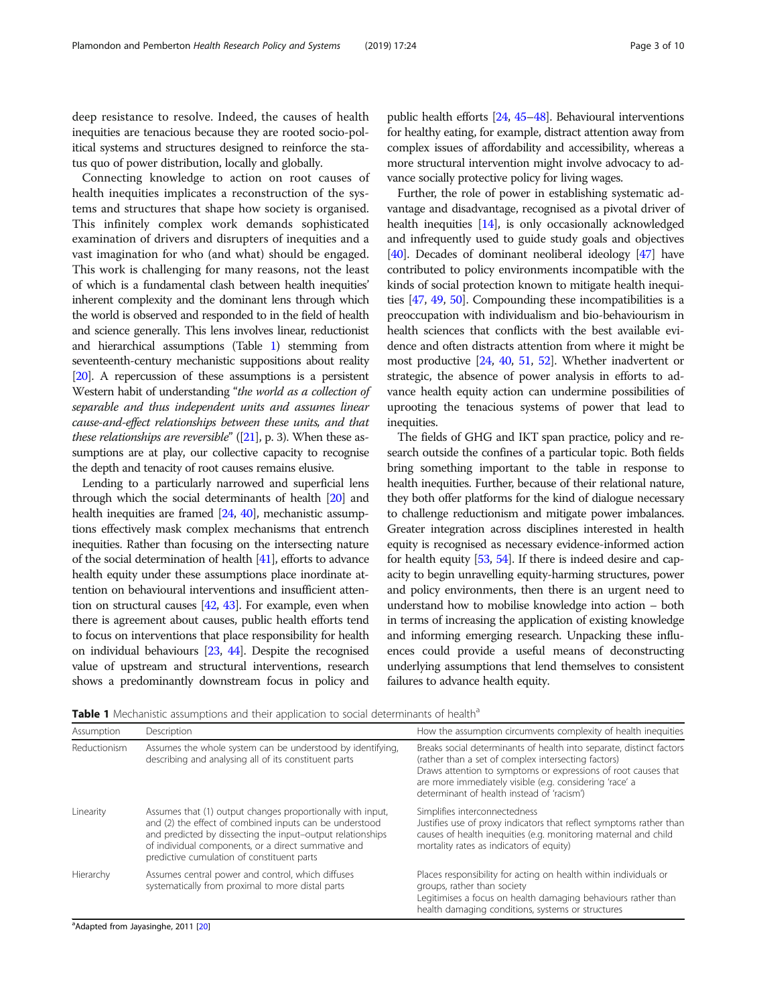deep resistance to resolve. Indeed, the causes of health inequities are tenacious because they are rooted socio-political systems and structures designed to reinforce the status quo of power distribution, locally and globally.

Connecting knowledge to action on root causes of health inequities implicates a reconstruction of the systems and structures that shape how society is organised. This infinitely complex work demands sophisticated examination of drivers and disrupters of inequities and a vast imagination for who (and what) should be engaged. This work is challenging for many reasons, not the least of which is a fundamental clash between health inequities' inherent complexity and the dominant lens through which the world is observed and responded to in the field of health and science generally. This lens involves linear, reductionist and hierarchical assumptions (Table 1) stemming from seventeenth-century mechanistic suppositions about reality [[20\]](#page-8-0). A repercussion of these assumptions is a persistent Western habit of understanding "the world as a collection of separable and thus independent units and assumes linear cause-and-effect relationships between these units, and that these relationships are reversible"  $([21]$  $([21]$ , p. 3). When these assumptions are at play, our collective capacity to recognise the depth and tenacity of root causes remains elusive.

Lending to a particularly narrowed and superficial lens through which the social determinants of health [[20\]](#page-8-0) and health inequities are framed [[24,](#page-8-0) [40\]](#page-8-0), mechanistic assumptions effectively mask complex mechanisms that entrench inequities. Rather than focusing on the intersecting nature of the social determination of health [\[41\]](#page-8-0), efforts to advance health equity under these assumptions place inordinate attention on behavioural interventions and insufficient attention on structural causes [\[42](#page-8-0), [43](#page-8-0)]. For example, even when there is agreement about causes, public health efforts tend to focus on interventions that place responsibility for health on individual behaviours [[23,](#page-8-0) [44\]](#page-8-0). Despite the recognised value of upstream and structural interventions, research shows a predominantly downstream focus in policy and public health efforts [\[24,](#page-8-0) [45](#page-8-0)–[48\]](#page-8-0). Behavioural interventions for healthy eating, for example, distract attention away from complex issues of affordability and accessibility, whereas a more structural intervention might involve advocacy to advance socially protective policy for living wages.

Further, the role of power in establishing systematic advantage and disadvantage, recognised as a pivotal driver of health inequities [\[14\]](#page-7-0), is only occasionally acknowledged and infrequently used to guide study goals and objectives [[40](#page-8-0)]. Decades of dominant neoliberal ideology [\[47\]](#page-8-0) have contributed to policy environments incompatible with the kinds of social protection known to mitigate health inequities [\[47,](#page-8-0) [49,](#page-8-0) [50\]](#page-8-0). Compounding these incompatibilities is a preoccupation with individualism and bio-behaviourism in health sciences that conflicts with the best available evidence and often distracts attention from where it might be most productive [\[24,](#page-8-0) [40](#page-8-0), [51,](#page-8-0) [52](#page-8-0)]. Whether inadvertent or strategic, the absence of power analysis in efforts to advance health equity action can undermine possibilities of uprooting the tenacious systems of power that lead to inequities.

The fields of GHG and IKT span practice, policy and research outside the confines of a particular topic. Both fields bring something important to the table in response to health inequities. Further, because of their relational nature, they both offer platforms for the kind of dialogue necessary to challenge reductionism and mitigate power imbalances. Greater integration across disciplines interested in health equity is recognised as necessary evidence-informed action for health equity [\[53](#page-8-0), [54\]](#page-8-0). If there is indeed desire and capacity to begin unravelling equity-harming structures, power and policy environments, then there is an urgent need to understand how to mobilise knowledge into action – both in terms of increasing the application of existing knowledge and informing emerging research. Unpacking these influences could provide a useful means of deconstructing underlying assumptions that lend themselves to consistent failures to advance health equity.

Table 1 Mechanistic assumptions and their application to social determinants of health<sup>a</sup>

| Assumption   | Description                                                                                                                                                                                                                                                                              | How the assumption circumvents complexity of health inequities                                                                                                                                                                                                                                         |  |
|--------------|------------------------------------------------------------------------------------------------------------------------------------------------------------------------------------------------------------------------------------------------------------------------------------------|--------------------------------------------------------------------------------------------------------------------------------------------------------------------------------------------------------------------------------------------------------------------------------------------------------|--|
| Reductionism | Assumes the whole system can be understood by identifying,<br>describing and analysing all of its constituent parts                                                                                                                                                                      | Breaks social determinants of health into separate, distinct factors<br>(rather than a set of complex intersecting factors)<br>Draws attention to symptoms or expressions of root causes that<br>are more immediately visible (e.g. considering 'race' a<br>determinant of health instead of 'racism') |  |
| Linearity    | Assumes that (1) output changes proportionally with input,<br>and (2) the effect of combined inputs can be understood<br>and predicted by dissecting the input-output relationships<br>of individual components, or a direct summative and<br>predictive cumulation of constituent parts | Simplifies interconnectedness<br>Justifies use of proxy indicators that reflect symptoms rather than<br>causes of health inequities (e.g. monitoring maternal and child<br>mortality rates as indicators of equity)                                                                                    |  |
| Hierarchy    | Assumes central power and control, which diffuses<br>systematically from proximal to more distal parts                                                                                                                                                                                   | Places responsibility for acting on health within individuals or<br>groups, rather than society<br>Legitimises a focus on health damaging behaviours rather than<br>health damaging conditions, systems or structures                                                                                  |  |

<sup>a</sup>Adapted from Jayasinghe, 2011 [\[20\]](#page-8-0)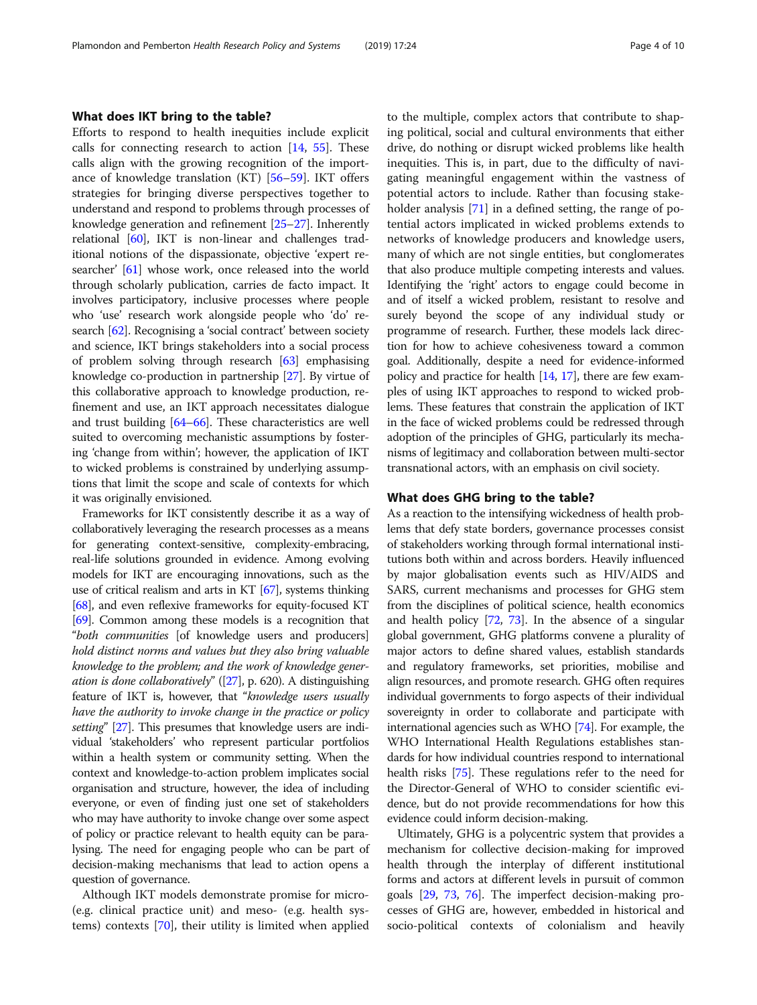#### What does IKT bring to the table?

Efforts to respond to health inequities include explicit calls for connecting research to action  $[14, 55]$  $[14, 55]$  $[14, 55]$  $[14, 55]$  $[14, 55]$ . These calls align with the growing recognition of the importance of knowledge translation (KT) [[56](#page-8-0)–[59](#page-8-0)]. IKT offers strategies for bringing diverse perspectives together to understand and respond to problems through processes of knowledge generation and refinement [[25](#page-8-0)–[27](#page-8-0)]. Inherently relational [[60](#page-8-0)], IKT is non-linear and challenges traditional notions of the dispassionate, objective 'expert researcher' [\[61\]](#page-8-0) whose work, once released into the world through scholarly publication, carries de facto impact. It involves participatory, inclusive processes where people who 'use' research work alongside people who 'do' research [\[62\]](#page-8-0). Recognising a 'social contract' between society and science, IKT brings stakeholders into a social process of problem solving through research [[63](#page-8-0)] emphasising knowledge co-production in partnership [[27](#page-8-0)]. By virtue of this collaborative approach to knowledge production, refinement and use, an IKT approach necessitates dialogue and trust building [[64](#page-8-0)–[66\]](#page-8-0). These characteristics are well suited to overcoming mechanistic assumptions by fostering 'change from within'; however, the application of IKT to wicked problems is constrained by underlying assumptions that limit the scope and scale of contexts for which it was originally envisioned.

Frameworks for IKT consistently describe it as a way of collaboratively leveraging the research processes as a means for generating context-sensitive, complexity-embracing, real-life solutions grounded in evidence. Among evolving models for IKT are encouraging innovations, such as the use of critical realism and arts in KT [\[67\]](#page-8-0), systems thinking [[68](#page-8-0)], and even reflexive frameworks for equity-focused KT [[69](#page-9-0)]. Common among these models is a recognition that "both communities [of knowledge users and producers] hold distinct norms and values but they also bring valuable knowledge to the problem; and the work of knowledge generation is done collaboratively" ([\[27](#page-8-0)], p. 620). A distinguishing feature of IKT is, however, that "knowledge users usually have the authority to invoke change in the practice or policy setting" [\[27\]](#page-8-0). This presumes that knowledge users are individual 'stakeholders' who represent particular portfolios within a health system or community setting. When the context and knowledge-to-action problem implicates social organisation and structure, however, the idea of including everyone, or even of finding just one set of stakeholders who may have authority to invoke change over some aspect of policy or practice relevant to health equity can be paralysing. The need for engaging people who can be part of decision-making mechanisms that lead to action opens a question of governance.

Although IKT models demonstrate promise for micro- (e.g. clinical practice unit) and meso- (e.g. health systems) contexts [\[70](#page-9-0)], their utility is limited when applied to the multiple, complex actors that contribute to shaping political, social and cultural environments that either drive, do nothing or disrupt wicked problems like health inequities. This is, in part, due to the difficulty of navigating meaningful engagement within the vastness of potential actors to include. Rather than focusing stake-holder analysis [[71](#page-9-0)] in a defined setting, the range of potential actors implicated in wicked problems extends to networks of knowledge producers and knowledge users, many of which are not single entities, but conglomerates that also produce multiple competing interests and values. Identifying the 'right' actors to engage could become in and of itself a wicked problem, resistant to resolve and surely beyond the scope of any individual study or programme of research. Further, these models lack direction for how to achieve cohesiveness toward a common goal. Additionally, despite a need for evidence-informed policy and practice for health [\[14,](#page-7-0) [17\]](#page-8-0), there are few examples of using IKT approaches to respond to wicked problems. These features that constrain the application of IKT in the face of wicked problems could be redressed through adoption of the principles of GHG, particularly its mechanisms of legitimacy and collaboration between multi-sector transnational actors, with an emphasis on civil society.

#### What does GHG bring to the table?

As a reaction to the intensifying wickedness of health problems that defy state borders, governance processes consist of stakeholders working through formal international institutions both within and across borders. Heavily influenced by major globalisation events such as HIV/AIDS and SARS, current mechanisms and processes for GHG stem from the disciplines of political science, health economics and health policy [\[72,](#page-9-0) [73\]](#page-9-0). In the absence of a singular global government, GHG platforms convene a plurality of major actors to define shared values, establish standards and regulatory frameworks, set priorities, mobilise and align resources, and promote research. GHG often requires individual governments to forgo aspects of their individual sovereignty in order to collaborate and participate with international agencies such as WHO [\[74\]](#page-9-0). For example, the WHO International Health Regulations establishes standards for how individual countries respond to international health risks [[75](#page-9-0)]. These regulations refer to the need for the Director-General of WHO to consider scientific evidence, but do not provide recommendations for how this evidence could inform decision-making.

Ultimately, GHG is a polycentric system that provides a mechanism for collective decision-making for improved health through the interplay of different institutional forms and actors at different levels in pursuit of common goals [[29,](#page-8-0) [73](#page-9-0), [76](#page-9-0)]. The imperfect decision-making processes of GHG are, however, embedded in historical and socio-political contexts of colonialism and heavily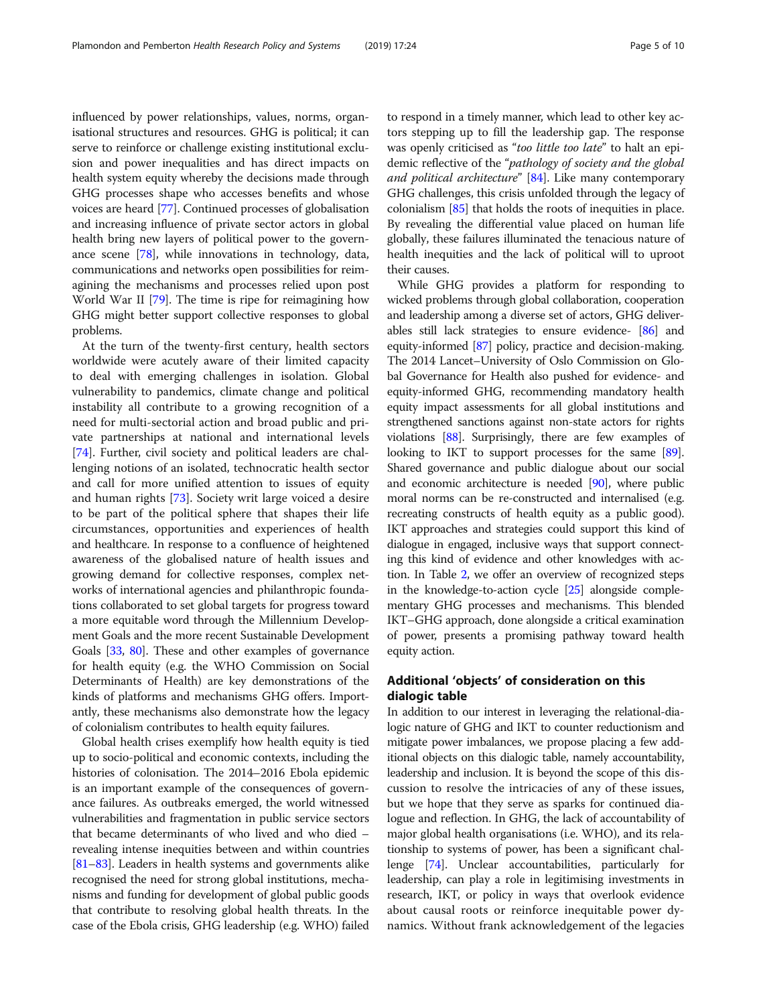influenced by power relationships, values, norms, organisational structures and resources. GHG is political; it can serve to reinforce or challenge existing institutional exclusion and power inequalities and has direct impacts on health system equity whereby the decisions made through GHG processes shape who accesses benefits and whose voices are heard [[77](#page-9-0)]. Continued processes of globalisation and increasing influence of private sector actors in global health bring new layers of political power to the governance scene [\[78\]](#page-9-0), while innovations in technology, data, communications and networks open possibilities for reimagining the mechanisms and processes relied upon post World War II [\[79\]](#page-9-0). The time is ripe for reimagining how GHG might better support collective responses to global problems.

At the turn of the twenty-first century, health sectors worldwide were acutely aware of their limited capacity to deal with emerging challenges in isolation. Global vulnerability to pandemics, climate change and political instability all contribute to a growing recognition of a need for multi-sectorial action and broad public and private partnerships at national and international levels [[74\]](#page-9-0). Further, civil society and political leaders are challenging notions of an isolated, technocratic health sector and call for more unified attention to issues of equity and human rights [\[73](#page-9-0)]. Society writ large voiced a desire to be part of the political sphere that shapes their life circumstances, opportunities and experiences of health and healthcare. In response to a confluence of heightened awareness of the globalised nature of health issues and growing demand for collective responses, complex networks of international agencies and philanthropic foundations collaborated to set global targets for progress toward a more equitable word through the Millennium Development Goals and the more recent Sustainable Development Goals [\[33,](#page-8-0) [80\]](#page-9-0). These and other examples of governance for health equity (e.g. the WHO Commission on Social Determinants of Health) are key demonstrations of the kinds of platforms and mechanisms GHG offers. Importantly, these mechanisms also demonstrate how the legacy of colonialism contributes to health equity failures.

Global health crises exemplify how health equity is tied up to socio-political and economic contexts, including the histories of colonisation. The 2014–2016 Ebola epidemic is an important example of the consequences of governance failures. As outbreaks emerged, the world witnessed vulnerabilities and fragmentation in public service sectors that became determinants of who lived and who died – revealing intense inequities between and within countries [[81](#page-9-0)–[83\]](#page-9-0). Leaders in health systems and governments alike recognised the need for strong global institutions, mechanisms and funding for development of global public goods that contribute to resolving global health threats. In the case of the Ebola crisis, GHG leadership (e.g. WHO) failed to respond in a timely manner, which lead to other key actors stepping up to fill the leadership gap. The response was openly criticised as "too little too late" to halt an epidemic reflective of the "pathology of society and the global and political architecture" [[84](#page-9-0)]. Like many contemporary GHG challenges, this crisis unfolded through the legacy of colonialism [\[85\]](#page-9-0) that holds the roots of inequities in place. By revealing the differential value placed on human life globally, these failures illuminated the tenacious nature of health inequities and the lack of political will to uproot their causes.

While GHG provides a platform for responding to wicked problems through global collaboration, cooperation and leadership among a diverse set of actors, GHG deliverables still lack strategies to ensure evidence- [[86](#page-9-0)] and equity-informed [[87](#page-9-0)] policy, practice and decision-making. The 2014 Lancet–University of Oslo Commission on Global Governance for Health also pushed for evidence- and equity-informed GHG, recommending mandatory health equity impact assessments for all global institutions and strengthened sanctions against non-state actors for rights violations [\[88\]](#page-9-0). Surprisingly, there are few examples of looking to IKT to support processes for the same [\[89](#page-9-0)]. Shared governance and public dialogue about our social and economic architecture is needed [\[90\]](#page-9-0), where public moral norms can be re-constructed and internalised (e.g. recreating constructs of health equity as a public good). IKT approaches and strategies could support this kind of dialogue in engaged, inclusive ways that support connecting this kind of evidence and other knowledges with action. In Table [2,](#page-5-0) we offer an overview of recognized steps in the knowledge-to-action cycle [\[25\]](#page-8-0) alongside complementary GHG processes and mechanisms. This blended IKT–GHG approach, done alongside a critical examination of power, presents a promising pathway toward health equity action.

### Additional 'objects' of consideration on this dialogic table

In addition to our interest in leveraging the relational-dialogic nature of GHG and IKT to counter reductionism and mitigate power imbalances, we propose placing a few additional objects on this dialogic table, namely accountability, leadership and inclusion. It is beyond the scope of this discussion to resolve the intricacies of any of these issues, but we hope that they serve as sparks for continued dialogue and reflection. In GHG, the lack of accountability of major global health organisations (i.e. WHO), and its relationship to systems of power, has been a significant challenge [\[74](#page-9-0)]. Unclear accountabilities, particularly for leadership, can play a role in legitimising investments in research, IKT, or policy in ways that overlook evidence about causal roots or reinforce inequitable power dynamics. Without frank acknowledgement of the legacies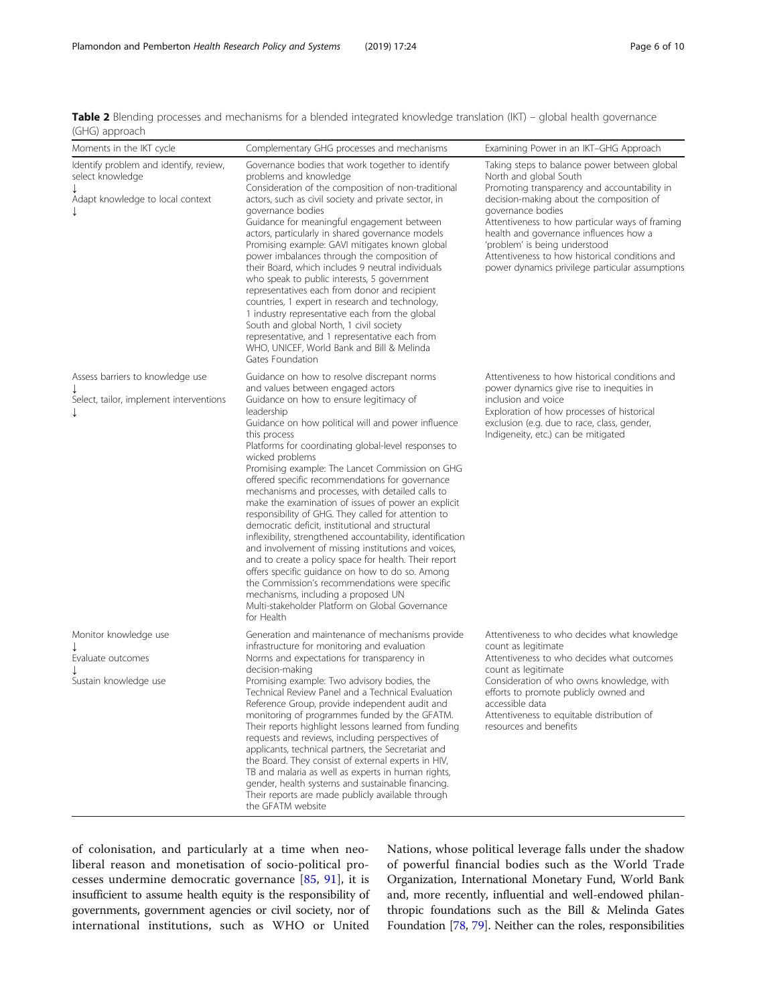| lai iai appidaci i                                                          |                                                                                                                                                                                                                                                                                                                                                                                                                                                                                                                                                                                                                                                                                                                                                                                                                                                                                                                                                                                                                   |                                                                                                                                                                                                                                                                                                                          |
|-----------------------------------------------------------------------------|-------------------------------------------------------------------------------------------------------------------------------------------------------------------------------------------------------------------------------------------------------------------------------------------------------------------------------------------------------------------------------------------------------------------------------------------------------------------------------------------------------------------------------------------------------------------------------------------------------------------------------------------------------------------------------------------------------------------------------------------------------------------------------------------------------------------------------------------------------------------------------------------------------------------------------------------------------------------------------------------------------------------|--------------------------------------------------------------------------------------------------------------------------------------------------------------------------------------------------------------------------------------------------------------------------------------------------------------------------|
| Moments in the IKT cycle                                                    | Complementary GHG processes and mechanisms                                                                                                                                                                                                                                                                                                                                                                                                                                                                                                                                                                                                                                                                                                                                                                                                                                                                                                                                                                        | Examining Power in an IKT-GHG Approach                                                                                                                                                                                                                                                                                   |
| Identify problem and identify, review,<br>select knowledge                  | Governance bodies that work together to identify<br>problems and knowledge<br>Consideration of the composition of non-traditional                                                                                                                                                                                                                                                                                                                                                                                                                                                                                                                                                                                                                                                                                                                                                                                                                                                                                 | Taking steps to balance power between global<br>North and global South<br>Promoting transparency and accountability in                                                                                                                                                                                                   |
| Adapt knowledge to local context                                            | actors, such as civil society and private sector, in<br>governance bodies<br>Guidance for meaningful engagement between<br>actors, particularly in shared governance models<br>Promising example: GAVI mitigates known global<br>power imbalances through the composition of<br>their Board, which includes 9 neutral individuals<br>who speak to public interests, 5 government<br>representatives each from donor and recipient<br>countries, 1 expert in research and technology,<br>1 industry representative each from the global<br>South and global North, 1 civil society<br>representative, and 1 representative each from<br>WHO, UNICEF, World Bank and Bill & Melinda<br>Gates Foundation                                                                                                                                                                                                                                                                                                             | decision-making about the composition of<br>governance bodies<br>Attentiveness to how particular ways of framing<br>health and governance influences how a<br>'problem' is being understood<br>Attentiveness to how historical conditions and<br>power dynamics privilege particular assumptions                         |
| Assess barriers to knowledge use<br>Select, tailor, implement interventions | Guidance on how to resolve discrepant norms<br>and values between engaged actors<br>Guidance on how to ensure legitimacy of<br>leadership<br>Guidance on how political will and power influence<br>this process<br>Platforms for coordinating global-level responses to<br>wicked problems<br>Promising example: The Lancet Commission on GHG<br>offered specific recommendations for governance<br>mechanisms and processes, with detailed calls to<br>make the examination of issues of power an explicit<br>responsibility of GHG. They called for attention to<br>democratic deficit, institutional and structural<br>inflexibility, strengthened accountability, identification<br>and involvement of missing institutions and voices,<br>and to create a policy space for health. Their report<br>offers specific guidance on how to do so. Among<br>the Commission's recommendations were specific<br>mechanisms, including a proposed UN<br>Multi-stakeholder Platform on Global Governance<br>for Health | Attentiveness to how historical conditions and<br>power dynamics give rise to inequities in<br>inclusion and voice<br>Exploration of how processes of historical<br>exclusion (e.g. due to race, class, gender,<br>Indigeneity, etc.) can be mitigated                                                                   |
| Monitor knowledge use<br>Evaluate outcomes<br>Sustain knowledge use         | Generation and maintenance of mechanisms provide<br>infrastructure for monitoring and evaluation<br>Norms and expectations for transparency in<br>decision-making<br>Promising example: Two advisory bodies, the<br>Technical Review Panel and a Technical Evaluation<br>Reference Group, provide independent audit and<br>monitoring of programmes funded by the GFATM.<br>Their reports highlight lessons learned from funding<br>requests and reviews, including perspectives of<br>applicants, technical partners, the Secretariat and<br>the Board. They consist of external experts in HIV,<br>TB and malaria as well as experts in human rights,<br>gender, health systems and sustainable financing.<br>Their reports are made publicly available through<br>the GFATM website                                                                                                                                                                                                                            | Attentiveness to who decides what knowledge<br>count as legitimate<br>Attentiveness to who decides what outcomes<br>count as legitimate<br>Consideration of who owns knowledge, with<br>efforts to promote publicly owned and<br>accessible data<br>Attentiveness to equitable distribution of<br>resources and benefits |

<span id="page-5-0"></span>**Table 2** Blending processes and mechanisms for a blended integrated knowledge translation (IKT) – global health governance (GHG) approach

of colonisation, and particularly at a time when neoliberal reason and monetisation of socio-political processes undermine democratic governance [\[85](#page-9-0), [91](#page-9-0)], it is insufficient to assume health equity is the responsibility of governments, government agencies or civil society, nor of international institutions, such as WHO or United

Nations, whose political leverage falls under the shadow of powerful financial bodies such as the World Trade Organization, International Monetary Fund, World Bank and, more recently, influential and well-endowed philanthropic foundations such as the Bill & Melinda Gates Foundation [[78](#page-9-0), [79](#page-9-0)]. Neither can the roles, responsibilities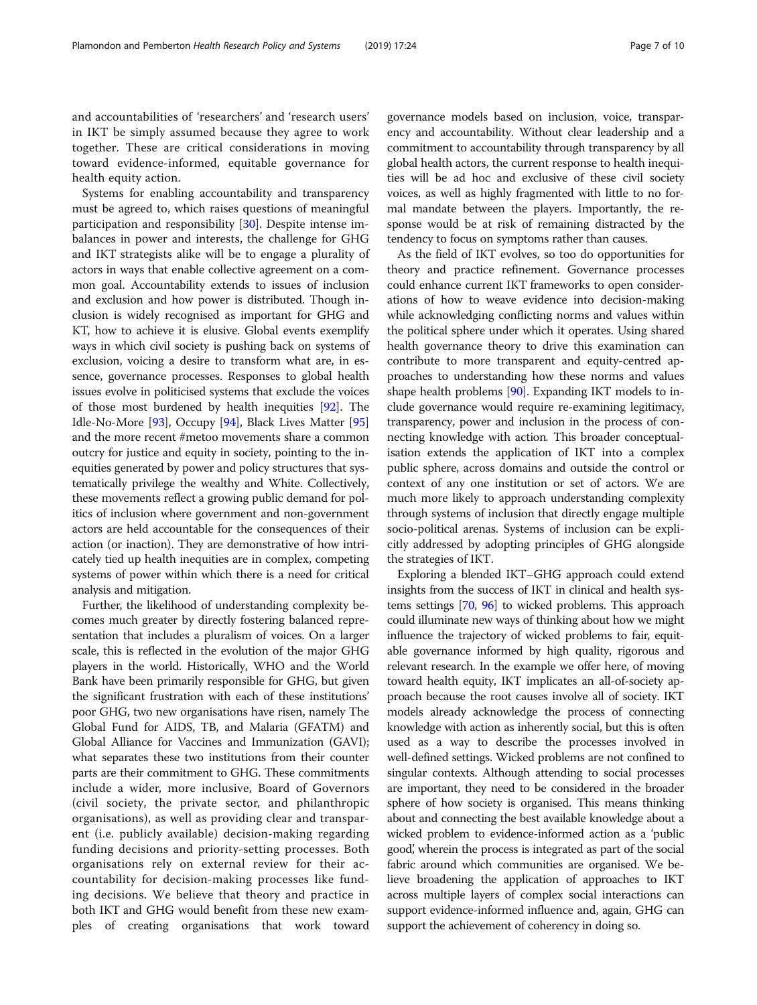and accountabilities of 'researchers' and 'research users' in IKT be simply assumed because they agree to work together. These are critical considerations in moving toward evidence-informed, equitable governance for health equity action.

Systems for enabling accountability and transparency must be agreed to, which raises questions of meaningful participation and responsibility [\[30\]](#page-8-0). Despite intense imbalances in power and interests, the challenge for GHG and IKT strategists alike will be to engage a plurality of actors in ways that enable collective agreement on a common goal. Accountability extends to issues of inclusion and exclusion and how power is distributed. Though inclusion is widely recognised as important for GHG and KT, how to achieve it is elusive. Global events exemplify ways in which civil society is pushing back on systems of exclusion, voicing a desire to transform what are, in essence, governance processes. Responses to global health issues evolve in politicised systems that exclude the voices of those most burdened by health inequities [[92](#page-9-0)]. The Idle-No-More [[93](#page-9-0)], Occupy [[94](#page-9-0)], Black Lives Matter [[95](#page-9-0)] and the more recent #metoo movements share a common outcry for justice and equity in society, pointing to the inequities generated by power and policy structures that systematically privilege the wealthy and White. Collectively, these movements reflect a growing public demand for politics of inclusion where government and non-government actors are held accountable for the consequences of their action (or inaction). They are demonstrative of how intricately tied up health inequities are in complex, competing systems of power within which there is a need for critical analysis and mitigation.

Further, the likelihood of understanding complexity becomes much greater by directly fostering balanced representation that includes a pluralism of voices. On a larger scale, this is reflected in the evolution of the major GHG players in the world. Historically, WHO and the World Bank have been primarily responsible for GHG, but given the significant frustration with each of these institutions' poor GHG, two new organisations have risen, namely The Global Fund for AIDS, TB, and Malaria (GFATM) and Global Alliance for Vaccines and Immunization (GAVI); what separates these two institutions from their counter parts are their commitment to GHG. These commitments include a wider, more inclusive, Board of Governors (civil society, the private sector, and philanthropic organisations), as well as providing clear and transparent (i.e. publicly available) decision-making regarding funding decisions and priority-setting processes. Both organisations rely on external review for their accountability for decision-making processes like funding decisions. We believe that theory and practice in both IKT and GHG would benefit from these new examples of creating organisations that work toward governance models based on inclusion, voice, transparency and accountability. Without clear leadership and a commitment to accountability through transparency by all global health actors, the current response to health inequities will be ad hoc and exclusive of these civil society voices, as well as highly fragmented with little to no formal mandate between the players. Importantly, the response would be at risk of remaining distracted by the tendency to focus on symptoms rather than causes.

As the field of IKT evolves, so too do opportunities for theory and practice refinement. Governance processes could enhance current IKT frameworks to open considerations of how to weave evidence into decision-making while acknowledging conflicting norms and values within the political sphere under which it operates. Using shared health governance theory to drive this examination can contribute to more transparent and equity-centred approaches to understanding how these norms and values shape health problems [[90](#page-9-0)]. Expanding IKT models to include governance would require re-examining legitimacy, transparency, power and inclusion in the process of connecting knowledge with action. This broader conceptualisation extends the application of IKT into a complex public sphere, across domains and outside the control or context of any one institution or set of actors. We are much more likely to approach understanding complexity through systems of inclusion that directly engage multiple socio-political arenas. Systems of inclusion can be explicitly addressed by adopting principles of GHG alongside the strategies of IKT.

Exploring a blended IKT–GHG approach could extend insights from the success of IKT in clinical and health systems settings [\[70](#page-9-0), [96\]](#page-9-0) to wicked problems. This approach could illuminate new ways of thinking about how we might influence the trajectory of wicked problems to fair, equitable governance informed by high quality, rigorous and relevant research. In the example we offer here, of moving toward health equity, IKT implicates an all-of-society approach because the root causes involve all of society. IKT models already acknowledge the process of connecting knowledge with action as inherently social, but this is often used as a way to describe the processes involved in well-defined settings. Wicked problems are not confined to singular contexts. Although attending to social processes are important, they need to be considered in the broader sphere of how society is organised. This means thinking about and connecting the best available knowledge about a wicked problem to evidence-informed action as a 'public good, wherein the process is integrated as part of the social ' fabric around which communities are organised. We believe broadening the application of approaches to IKT across multiple layers of complex social interactions can support evidence-informed influence and, again, GHG can support the achievement of coherency in doing so.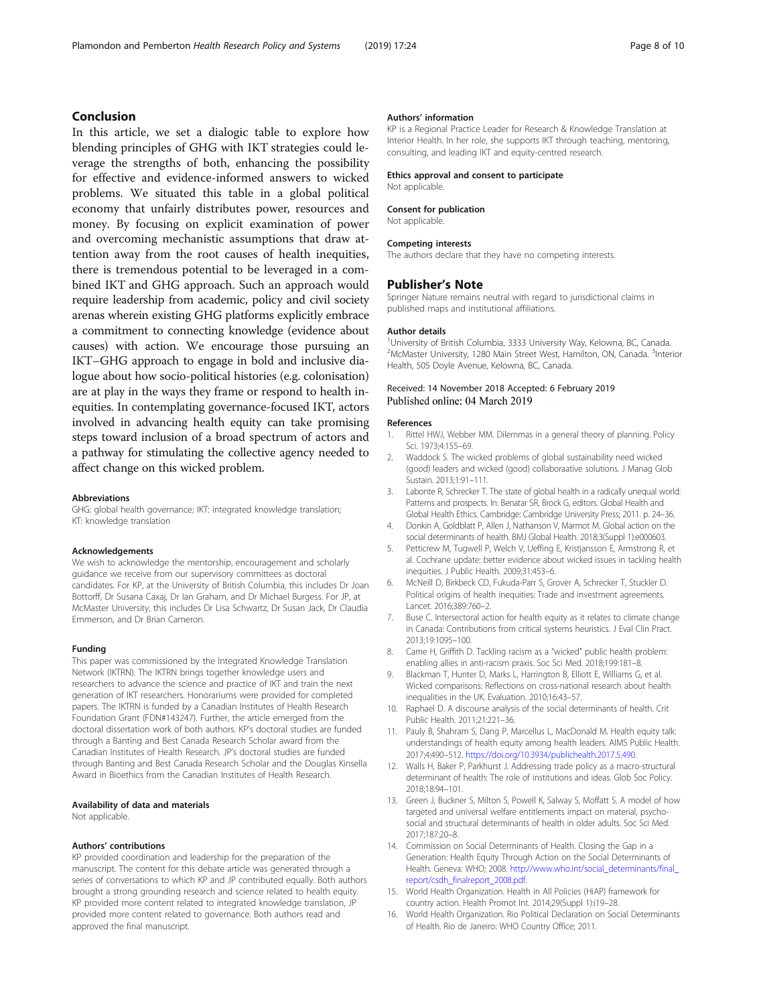#### <span id="page-7-0"></span>Conclusion

In this article, we set a dialogic table to explore how blending principles of GHG with IKT strategies could leverage the strengths of both, enhancing the possibility for effective and evidence-informed answers to wicked problems. We situated this table in a global political economy that unfairly distributes power, resources and money. By focusing on explicit examination of power and overcoming mechanistic assumptions that draw attention away from the root causes of health inequities, there is tremendous potential to be leveraged in a combined IKT and GHG approach. Such an approach would require leadership from academic, policy and civil society arenas wherein existing GHG platforms explicitly embrace a commitment to connecting knowledge (evidence about causes) with action. We encourage those pursuing an IKT–GHG approach to engage in bold and inclusive dialogue about how socio-political histories (e.g. colonisation) are at play in the ways they frame or respond to health inequities. In contemplating governance-focused IKT, actors involved in advancing health equity can take promising steps toward inclusion of a broad spectrum of actors and a pathway for stimulating the collective agency needed to affect change on this wicked problem.

#### Abbreviations

GHG: global health governance; IKT: integrated knowledge translation; KT: knowledge translation

#### Acknowledgements

We wish to acknowledge the mentorship, encouragement and scholarly guidance we receive from our supervisory committees as doctoral candidates. For KP, at the University of British Columbia, this includes Dr Joan Bottorff, Dr Susana Caxaj, Dr Ian Graham, and Dr Michael Burgess. For JP, at McMaster University, this includes Dr Lisa Schwartz, Dr Susan Jack, Dr Claudia Emmerson, and Dr Brian Cameron.

#### Funding

This paper was commissioned by the Integrated Knowledge Translation Network (IKTRN). The IKTRN brings together knowledge users and researchers to advance the science and practice of IKT and train the next generation of IKT researchers. Honorariums were provided for completed papers. The IKTRN is funded by a Canadian Institutes of Health Research Foundation Grant (FDN#143247). Further, the article emerged from the doctoral dissertation work of both authors. KP's doctoral studies are funded through a Banting and Best Canada Research Scholar award from the Canadian Institutes of Health Research. JP's doctoral studies are funded through Banting and Best Canada Research Scholar and the Douglas Kinsella Award in Bioethics from the Canadian Institutes of Health Research.

#### Availability of data and materials

Not applicable.

#### Authors' contributions

KP provided coordination and leadership for the preparation of the manuscript. The content for this debate article was generated through a series of conversations to which KP and JP contributed equally. Both authors brought a strong grounding research and science related to health equity. KP provided more content related to integrated knowledge translation, JP provided more content related to governance. Both authors read and approved the final manuscript.

#### Authors' information

KP is a Regional Practice Leader for Research & Knowledge Translation at Interior Health. In her role, she supports IKT through teaching, mentoring, consulting, and leading IKT and equity-centred research.

#### Ethics approval and consent to participate

Not applicable.

#### Consent for publication

Not applicable.

#### Competing interests

The authors declare that they have no competing interests.

#### Publisher's Note

Springer Nature remains neutral with regard to jurisdictional claims in published maps and institutional affiliations.

#### Author details

<sup>1</sup>University of British Columbia, 3333 University Way, Kelowna, BC, Canada. <sup>2</sup>McMaster University, 1280 Main Street West, Hamilton, ON, Canada. <sup>3</sup>Interior Health, 505 Doyle Avenue, Kelowna, BC, Canada.

#### Received: 14 November 2018 Accepted: 6 February 2019 Published online: 04 March 2019

#### References

- 1. Rittel HWJ, Webber MM. Dilemmas in a general theory of planning. Policy Sci. 1973;4:155–69.
- 2. Waddock S. The wicked problems of global sustainability need wicked (good) leaders and wicked (good) collaboraative solutions. J Manag Glob Sustain. 2013;1:91–111.
- 3. Labonte R, Schrecker T. The state of global health in a radically unequal world: Patterns and prospects. In: Benatar SR, Brock G, editors. Global Health and Global Health Ethics. Cambridge: Cambridge University Press; 2011. p. 24–36.
- 4. Donkin A, Goldblatt P, Allen J, Nathanson V, Marmot M. Global action on the social determinants of health. BMJ Global Health. 2018;3(Suppl 1):e000603.
- 5. Petticrew M, Tugwell P, Welch V, Ueffing E, Kristjansson E, Armstrong R, et al. Cochrane update: better evidence about wicked issues in tackling health inequities. J Public Health. 2009;31:453–6.
- 6. McNeill D, Birkbeck CD, Fukuda-Parr S, Grover A, Schrecker T, Stuckler D. Political origins of health inequities: Trade and investment agreements. Lancet. 2016;389:760–2.
- 7. Buse C. Intersectoral action for health equity as it relates to climate change in Canada: Contributions from critical systems heuristics. J Eval Clin Pract. 2013;19:1095–100.
- 8. Came H, Griffith D. Tackling racism as a "wicked" public health problem: enabling allies in anti-racism praxis. Soc Sci Med. 2018;199:181–8.
- 9. Blackman T, Hunter D, Marks L, Harrington B, Elliott E, Williams G, et al. Wicked comparisons: Reflections on cross-national research about health inequalities in the UK. Evaluation. 2010;16:43–57.
- 10. Raphael D. A discourse analysis of the social determinants of health. Crit Public Health. 2011;21:221–36.
- 11. Pauly B, Shahram S, Dang P, Marcellus L, MacDonald M. Health equity talk: understandings of health equity among health leaders. AIMS Public Health. 2017;4:490–512. [https://doi.org/10.3934/publichealth.2017.5.490.](https://doi.org/10.3934/publichealth.2017.5.490)
- 12. Walls H, Baker P, Parkhurst J. Addressing trade policy as a macro-structural determinant of health: The role of institutions and ideas. Glob Soc Policy. 2018;18:94–101.
- 13. Green J, Buckner S, Milton S, Powell K, Salway S, Moffatt S. A model of how targeted and universal welfare entitlements impact on material, psychosocial and structural determinants of health in older adults. Soc Sci Med. 2017;187:20–8.
- 14. Commission on Social Determinants of Health. Closing the Gap in a Generation: Health Equity Through Action on the Social Determinants of Health. Geneva: WHO; 2008. [http://www.who.int/social\\_determinants/final\\_](http://www.who.int/social_determinants/final_report/csdh_finalreport_2008.pdf) [report/csdh\\_finalreport\\_2008.pdf.](http://www.who.int/social_determinants/final_report/csdh_finalreport_2008.pdf)
- 15. World Health Organization. Health in All Policies (HiAP) framework for country action. Health Promot Int. 2014;29(Suppl 1):i19–28.
- 16. World Health Organization. Rio Political Declaration on Social Determinants of Health. Rio de Janeiro: WHO Country Office; 2011.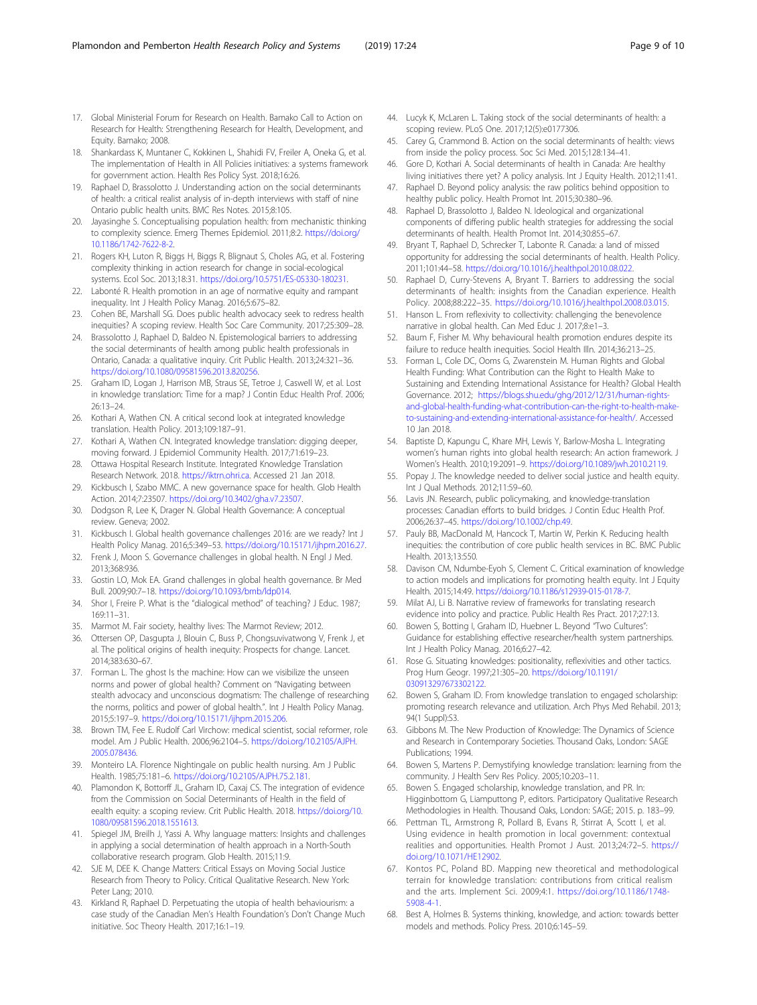- <span id="page-8-0"></span>17. Global Ministerial Forum for Research on Health. Bamako Call to Action on Research for Health: Strengthening Research for Health, Development, and Equity. Bamako; 2008.
- 18. Shankardass K, Muntaner C, Kokkinen L, Shahidi FV, Freiler A, Oneka G, et al. The implementation of Health in All Policies initiatives: a systems framework for government action. Health Res Policy Syst. 2018;16:26.
- 19. Raphael D, Brassolotto J. Understanding action on the social determinants of health: a critical realist analysis of in-depth interviews with staff of nine Ontario public health units. BMC Res Notes. 2015;8:105.
- 20. Jayasinghe S. Conceptualising population health: from mechanistic thinking to complexity science. Emerg Themes Epidemiol. 2011;8:2. [https://doi.org/](https://doi.org/10.1186/1742-7622-8-2) [10.1186/1742-7622-8-2](https://doi.org/10.1186/1742-7622-8-2).
- 21. Rogers KH, Luton R, Biggs H, Biggs R, Blignaut S, Choles AG, et al. Fostering complexity thinking in action research for change in social-ecological systems. Ecol Soc. 2013;18:31. [https://doi.org/10.5751/ES-05330-180231.](https://doi.org/10.5751/ES-05330-180231)
- 22. Labonté R. Health promotion in an age of normative equity and rampant inequality. Int J Health Policy Manag. 2016;5:675–82.
- 23. Cohen BE, Marshall SG. Does public health advocacy seek to redress health inequities? A scoping review. Health Soc Care Community. 2017;25:309–28.
- 24. Brassolotto J, Raphael D, Baldeo N. Epistemological barriers to addressing the social determinants of health among public health professionals in Ontario, Canada: a qualitative inquiry. Crit Public Health. 2013;24:321–36. [https://doi.org/10.1080/09581596.2013.820256.](https://doi.org/10.1080/09581596.2013.820256)
- 25. Graham ID, Logan J, Harrison MB, Straus SE, Tetroe J, Caswell W, et al. Lost in knowledge translation: Time for a map? J Contin Educ Health Prof. 2006; 26:13–24.
- 26. Kothari A, Wathen CN. A critical second look at integrated knowledge translation. Health Policy. 2013;109:187–91.
- 27. Kothari A, Wathen CN. Integrated knowledge translation: digging deeper, moving forward. J Epidemiol Community Health. 2017;71:619–23.
- 28. Ottawa Hospital Research Institute. Integrated Knowledge Translation Research Network. 2018. <https://iktrn.ohri.ca>. Accessed 21 Jan 2018.
- 29. Kickbusch I, Szabo MMC. A new governance space for health. Glob Health Action. 2014;7:23507. <https://doi.org/10.3402/gha.v7.23507>.
- 30. Dodgson R, Lee K, Drager N. Global Health Governance: A conceptual review. Geneva; 2002.
- 31. Kickbusch I. Global health governance challenges 2016: are we ready? Int J Health Policy Manag. 2016;5:349–53. <https://doi.org/10.15171/ijhpm.2016.27>.
- 32. Frenk J, Moon S. Governance challenges in global health. N Engl J Med. 2013;368:936.
- 33. Gostin LO, Mok EA. Grand challenges in global health governance. Br Med Bull. 2009;90:7–18. [https://doi.org/10.1093/bmb/ldp014.](https://doi.org/10.1093/bmb/ldp014)
- 34. Shor I, Freire P. What is the "dialogical method" of teaching? J Educ. 1987; 169:11–31.
- 35. Marmot M. Fair society, healthy lives: The Marmot Review; 2012.
- 36. Ottersen OP, Dasgupta J, Blouin C, Buss P, Chongsuvivatwong V, Frenk J, et al. The political origins of health inequity: Prospects for change. Lancet. 2014;383:630–67.
- 37. Forman L. The ghost Is the machine: How can we visibilize the unseen norms and power of global health? Comment on "Navigating between stealth advocacy and unconscious dogmatism: The challenge of researching the norms, politics and power of global health.". Int J Health Policy Manag. 2015;5:197–9. [https://doi.org/10.15171/ijhpm.2015.206.](https://doi.org/10.15171/ijhpm.2015.206)
- 38. Brown TM, Fee E. Rudolf Carl Virchow: medical scientist, social reformer, role model. Am J Public Health. 2006;96:2104–5. [https://doi.org/10.2105/AJPH.](https://doi.org/10.2105/AJPH.2005.078436) [2005.078436.](https://doi.org/10.2105/AJPH.2005.078436)
- 39. Monteiro LA. Florence Nightingale on public health nursing. Am J Public Health. 1985;75:181–6. [https://doi.org/10.2105/AJPH.75.2.181.](https://doi.org/10.2105/AJPH.75.2.181)
- 40. Plamondon K, Bottorff JL, Graham ID, Caxaj CS. The integration of evidence from the Commission on Social Determinants of Health in the field of eealth equity: a scoping review. Crit Public Health. 2018. [https://doi.org/10.](https://doi.org/10.1080/09581596.2018.1551613) [1080/09581596.2018.1551613.](https://doi.org/10.1080/09581596.2018.1551613)
- 41. Spiegel JM, Breilh J, Yassi A. Why language matters: Insights and challenges in applying a social determination of health approach in a North-South collaborative research program. Glob Health. 2015;11:9.
- 42. SJE M, DEE K. Change Matters: Critical Essays on Moving Social Justice Research from Theory to Policy. Critical Qualitative Research. New York: Peter Lang: 2010.
- 43. Kirkland R, Raphael D. Perpetuating the utopia of health behaviourism: a case study of the Canadian Men's Health Foundation's Don't Change Much initiative. Soc Theory Health. 2017;16:1–19.
- 44. Lucyk K, McLaren L. Taking stock of the social determinants of health: a scoping review. PLoS One. 2017;12(5):e0177306.
- 45. Carey G, Crammond B. Action on the social determinants of health: views from inside the policy process. Soc Sci Med. 2015;128:134–41.
- 46. Gore D, Kothari A. Social determinants of health in Canada: Are healthy living initiatives there yet? A policy analysis. Int J Equity Health. 2012;11:41.
- 47. Raphael D. Beyond policy analysis: the raw politics behind opposition to healthy public policy. Health Promot Int. 2015;30:380–96.
- 48. Raphael D, Brassolotto J, Baldeo N. Ideological and organizational components of differing public health strategies for addressing the social determinants of health. Health Promot Int. 2014;30:855–67.
- 49. Bryant T, Raphael D, Schrecker T, Labonte R. Canada: a land of missed opportunity for addressing the social determinants of health. Health Policy. 2011;101:44–58. [https://doi.org/10.1016/j.healthpol.2010.08.022.](https://doi.org/10.1016/j.healthpol.2010.08.022)
- 50. Raphael D, Curry-Stevens A, Bryant T. Barriers to addressing the social determinants of health: insights from the Canadian experience. Health Policy. 2008;88:222–35. <https://doi.org/10.1016/j.healthpol.2008.03.015>.
- 51. Hanson L. From reflexivity to collectivity: challenging the benevolence narrative in global health. Can Med Educ J. 2017;8:e1–3.
- 52. Baum F, Fisher M. Why behavioural health promotion endures despite its failure to reduce health inequities. Sociol Health Illn. 2014;36:213–25.
- 53. Forman L, Cole DC, Ooms G, Zwarenstein M. Human Rights and Global Health Funding: What Contribution can the Right to Health Make to Sustaining and Extending International Assistance for Health? Global Health Governance. 2012; [https://blogs.shu.edu/ghg/2012/12/31/human-rights](https://blogs.shu.edu/ghg/2012/12/31/human-rights-and-global-health-funding-what-contribution-can-the-right-to-health-make-to-sustaining-and-extending-international-assistance-for-health/)[and-global-health-funding-what-contribution-can-the-right-to-health-make](https://blogs.shu.edu/ghg/2012/12/31/human-rights-and-global-health-funding-what-contribution-can-the-right-to-health-make-to-sustaining-and-extending-international-assistance-for-health/)[to-sustaining-and-extending-international-assistance-for-health/](https://blogs.shu.edu/ghg/2012/12/31/human-rights-and-global-health-funding-what-contribution-can-the-right-to-health-make-to-sustaining-and-extending-international-assistance-for-health/). Accessed 10 Jan 2018.
- 54. Baptiste D, Kapungu C, Khare MH, Lewis Y, Barlow-Mosha L. Integrating women's human rights into global health research: An action framework. J Women's Health. 2010;19:2091–9. <https://doi.org/10.1089/jwh.2010.2119>.
- 55. Popay J. The knowledge needed to deliver social justice and health equity. Int J Qual Methods. 2012;11:59–60.
- 56. Lavis JN. Research, public policymaking, and knowledge-translation processes: Canadian efforts to build bridges. J Contin Educ Health Prof. 2006;26:37–45. <https://doi.org/10.1002/chp.49>.
- 57. Pauly BB, MacDonald M, Hancock T, Martin W, Perkin K. Reducing health inequities: the contribution of core public health services in BC. BMC Public Health. 2013;13:550.
- 58. Davison CM, Ndumbe-Eyoh S, Clement C. Critical examination of knowledge to action models and implications for promoting health equity. Int J Equity Health. 2015;14:49. [https://doi.org/10.1186/s12939-015-0178-7.](https://doi.org/10.1186/s12939-015-0178-7)
- Milat AJ, Li B. Narrative review of frameworks for translating research evidence into policy and practice. Public Health Res Pract. 2017;27:13.
- 60. Bowen S, Botting I, Graham ID, Huebner L. Beyond "Two Cultures": Guidance for establishing effective researcher/health system partnerships. Int J Health Policy Manag. 2016;6:27–42.
- 61. Rose G. Situating knowledges: positionality, reflexivities and other tactics. Prog Hum Geogr. 1997;21:305–20. [https://doi.org/10.1191/](https://doi.org/10.1191/030913297673302122) [030913297673302122](https://doi.org/10.1191/030913297673302122).
- 62. Bowen S, Graham ID. From knowledge translation to engaged scholarship: promoting research relevance and utilization. Arch Phys Med Rehabil. 2013; 94(1 Suppl):S3.
- 63. Gibbons M. The New Production of Knowledge: The Dynamics of Science and Research in Contemporary Societies. Thousand Oaks, London: SAGE Publications; 1994.
- 64. Bowen S, Martens P. Demystifying knowledge translation: learning from the community. J Health Serv Res Policy. 2005;10:203–11.
- 65. Bowen S. Engaged scholarship, knowledge translation, and PR. In: Higginbottom G, Liamputtong P, editors. Participatory Qualitative Research Methodologies in Health. Thousand Oaks, London: SAGE; 2015. p. 183–99.
- 66. Pettman TL, Armstrong R, Pollard B, Evans R, Stirrat A, Scott I, et al. Using evidence in health promotion in local government: contextual realities and opportunities. Health Promot J Aust. 2013;24:72–5. [https://](https://doi.org/10.1071/HE12902) [doi.org/10.1071/HE12902](https://doi.org/10.1071/HE12902).
- 67. Kontos PC, Poland BD. Mapping new theoretical and methodological terrain for knowledge translation: contributions from critical realism and the arts. Implement Sci. 2009;4:1. [https://doi.org/10.1186/1748-](https://doi.org/10.1186/1748-5908-4-1) [5908-4-1.](https://doi.org/10.1186/1748-5908-4-1)
- 68. Best A, Holmes B. Systems thinking, knowledge, and action: towards better models and methods. Policy Press. 2010;6:145–59.